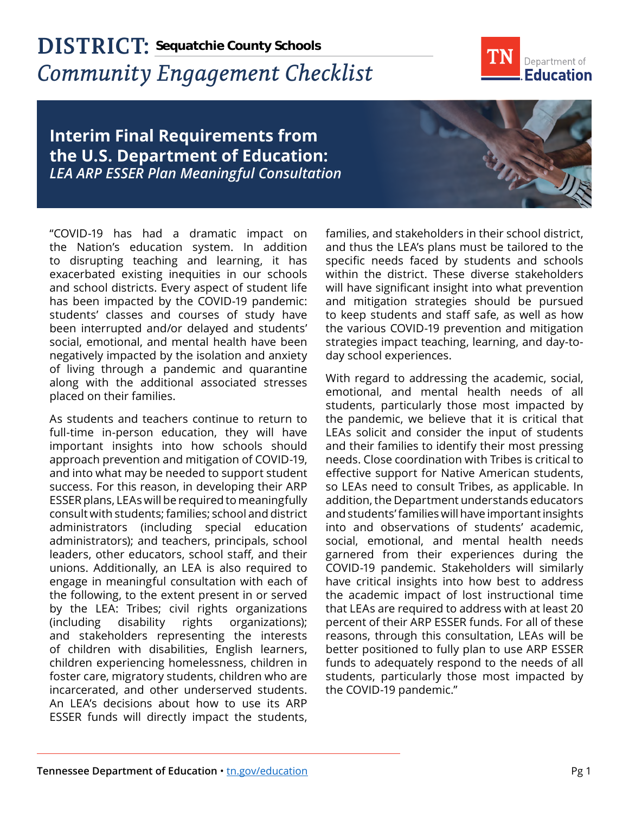## **DISTRICT: Sequatchie County Schools***Community Engagement Checklist*



## **Interim Final Requirements from the U.S. Department of Education:**  *LEA ARP ESSER Plan Meaningful Consultation*

"COVID-19 has had a dramatic impact on the Nation's education system. In addition to disrupting teaching and learning, it has exacerbated existing inequities in our schools and school districts. Every aspect of student life has been impacted by the COVID-19 pandemic: students' classes and courses of study have been interrupted and/or delayed and students' social, emotional, and mental health have been negatively impacted by the isolation and anxiety of living through a pandemic and quarantine along with the additional associated stresses placed on their families.

As students and teachers continue to return to full-time in-person education, they will have important insights into how schools should approach prevention and mitigation of COVID-19, and into what may be needed to support student success. For this reason, in developing their ARP ESSER plans, LEAs will be required to meaningfully consult with students; families; school and district administrators (including special education administrators); and teachers, principals, school leaders, other educators, school staff, and their unions. Additionally, an LEA is also required to engage in meaningful consultation with each of the following, to the extent present in or served by the LEA: Tribes; civil rights organizations (including disability rights organizations); and stakeholders representing the interests of children with disabilities, English learners, children experiencing homelessness, children in foster care, migratory students, children who are incarcerated, and other underserved students. An LEA's decisions about how to use its ARP ESSER funds will directly impact the students,

families, and stakeholders in their school district, and thus the LEA's plans must be tailored to the specific needs faced by students and schools within the district. These diverse stakeholders will have significant insight into what prevention and mitigation strategies should be pursued to keep students and staff safe, as well as how the various COVID-19 prevention and mitigation strategies impact teaching, learning, and day-today school experiences.

With regard to addressing the academic, social, emotional, and mental health needs of all students, particularly those most impacted by the pandemic, we believe that it is critical that LEAs solicit and consider the input of students and their families to identify their most pressing needs. Close coordination with Tribes is critical to effective support for Native American students, so LEAs need to consult Tribes, as applicable. In addition, the Department understands educators and students' families will have important insights into and observations of students' academic, social, emotional, and mental health needs garnered from their experiences during the COVID-19 pandemic. Stakeholders will similarly have critical insights into how best to address the academic impact of lost instructional time that LEAs are required to address with at least 20 percent of their ARP ESSER funds. For all of these reasons, through this consultation, LEAs will be better positioned to fully plan to use ARP ESSER funds to adequately respond to the needs of all students, particularly those most impacted by the COVID-19 pandemic."